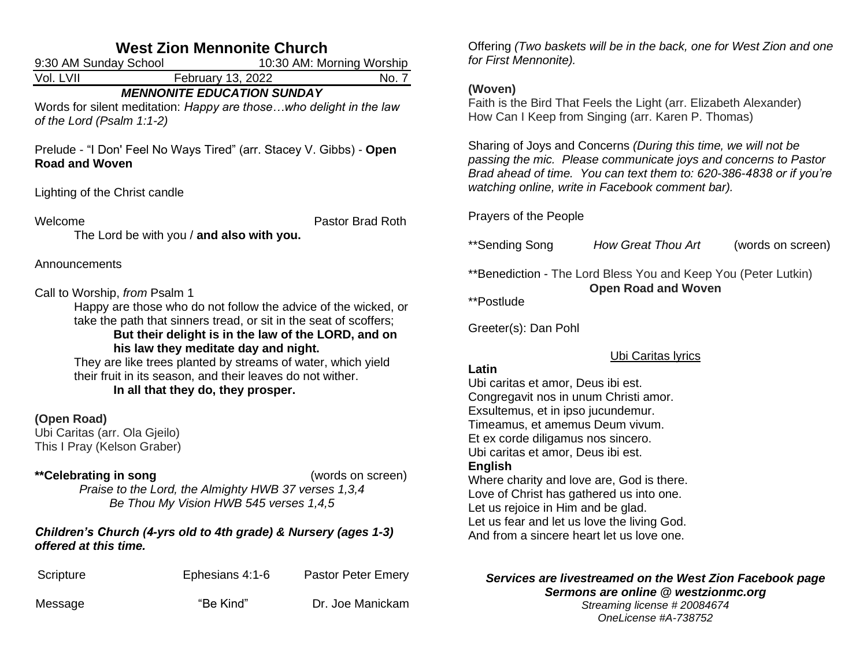# **West Zion Mennonite Church**

| 9:30 AM Sunday School                                                       |                                                                                                                                                                                                                                                                                                                                                                                                        | 10:30 AM: Morning Worship |
|-----------------------------------------------------------------------------|--------------------------------------------------------------------------------------------------------------------------------------------------------------------------------------------------------------------------------------------------------------------------------------------------------------------------------------------------------------------------------------------------------|---------------------------|
| Vol. LVII                                                                   | February 13, 2022                                                                                                                                                                                                                                                                                                                                                                                      | No. 7                     |
| of the Lord (Psalm 1:1-2)                                                   | <b>MENNONITE EDUCATION SUNDAY</b><br>Words for silent meditation: Happy are thosewho delight in the law                                                                                                                                                                                                                                                                                                |                           |
| <b>Road and Woven</b>                                                       | Prelude - "I Don' Feel No Ways Tired" (arr. Stacey V. Gibbs) - Open                                                                                                                                                                                                                                                                                                                                    |                           |
| Lighting of the Christ candle                                               |                                                                                                                                                                                                                                                                                                                                                                                                        |                           |
| Welcome                                                                     | The Lord be with you / and also with you.                                                                                                                                                                                                                                                                                                                                                              | Pastor Brad Roth          |
| Announcements                                                               |                                                                                                                                                                                                                                                                                                                                                                                                        |                           |
| Call to Worship, from Psalm 1                                               | Happy are those who do not follow the advice of the wicked, or<br>take the path that sinners tread, or sit in the seat of scoffers;<br>But their delight is in the law of the LORD, and on<br>his law they meditate day and night.<br>They are like trees planted by streams of water, which yield<br>their fruit in its season, and their leaves do not wither.<br>In all that they do, they prosper. |                           |
| (Open Road)<br>Ubi Caritas (arr. Ola Gjeilo)<br>This I Pray (Kelson Graber) |                                                                                                                                                                                                                                                                                                                                                                                                        |                           |
| **Celebrating in song                                                       | Praise to the Lord, the Almighty HWB 37 verses 1,3,4<br>Be Thou My Vision HWB 545 verses 1,4,5                                                                                                                                                                                                                                                                                                         | (words on screen)         |

#### *Children's Church (4-yrs old to 4th grade) & Nursery (ages 1-3) offered at this time.*

| Scripture | Ephesians 4:1-6 | <b>Pastor Peter Emery</b> |
|-----------|-----------------|---------------------------|
| Message   | "Be Kind"       | Dr. Joe Manickam          |

Offering *(Two baskets will be in the back, one for West Zion and one for First Mennonite).* 

#### **(Woven)**

Faith is the Bird That Feels the Light (arr. Elizabeth Alexander) How Can I Keep from Singing (arr. Karen P. Thomas)

Sharing of Joys and Concerns *(During this time, we will not be passing the mic. Please communicate joys and concerns to Pastor Brad ahead of time. You can text them to: 620-386-4838 or if you're watching online, write in Facebook comment bar).*

Prayers of the People

\*\*Sending Song *How Great Thou Art* (words on screen)

\*\*Benediction - The Lord Bless You and Keep You (Peter Lutkin) **Open Road and Woven**

\*\*Postlude

Greeter(s): Dan Pohl

Ubi Caritas lyrics

# **Latin**

Ubi caritas et amor, Deus ibi est. Congregavit nos in unum Christi amor. Exsultemus, et in ipso jucundemur. Timeamus, et amemus Deum vivum. Et ex corde diligamus nos sincero. Ubi caritas et amor, Deus ibi est. **English**

Where charity and love are, God is there. Love of Christ has gathered us into one. Let us rejoice in Him and be glad. Let us fear and let us love the living God. And from a sincere heart let us love one.

#### *Services are livestreamed on the West Zion Facebook page Sermons are online @ westzionmc.org*

*Streaming license # 20084674 OneLicense #A-738752*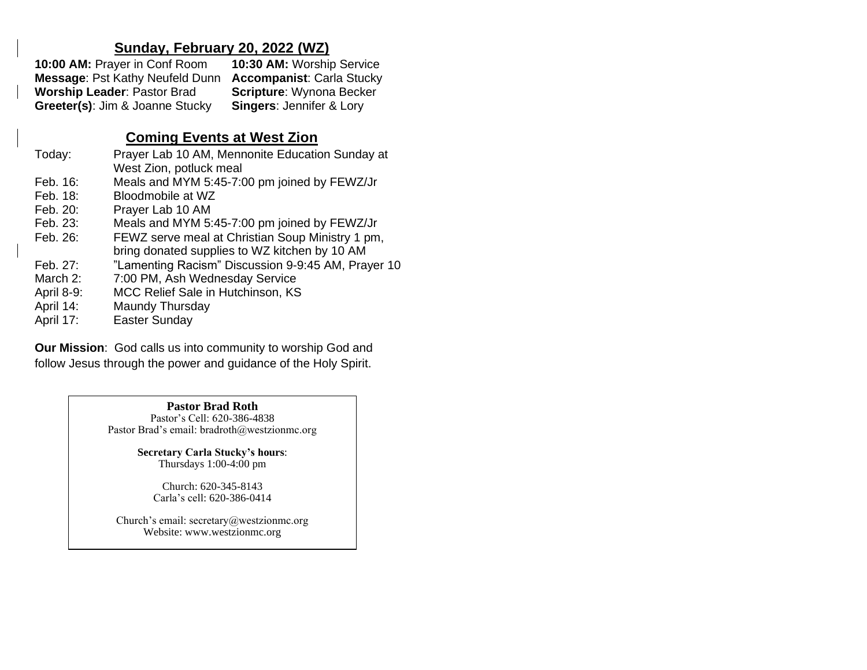# **Sunday, February 20, 2022 (WZ)**

| 10:00 AM: Prayer in Conf Room          | 10:30 AM: Worship Service           |
|----------------------------------------|-------------------------------------|
| <b>Message: Pst Kathy Neufeld Dunn</b> | <b>Accompanist: Carla Stucky</b>    |
| <b>Worship Leader: Pastor Brad</b>     | <b>Scripture: Wynona Becker</b>     |
| Greeter(s): Jim & Joanne Stucky        | <b>Singers: Jennifer &amp; Lory</b> |

# **Coming Events at West Zion**

| Today:      | Prayer Lab 10 AM, Mennonite Education Sunday at<br>West Zion, potluck meal                        |
|-------------|---------------------------------------------------------------------------------------------------|
| Feb. $16$ : | Meals and MYM 5:45-7:00 pm joined by FEWZ/Jr                                                      |
| Feb. 18:    | Bloodmobile at WZ                                                                                 |
| Feb. 20:    | Prayer Lab 10 AM                                                                                  |
| Feb. 23:    | Meals and MYM 5:45-7:00 pm joined by FEWZ/Jr                                                      |
| Feb. 26:    | FEWZ serve meal at Christian Soup Ministry 1 pm,<br>bring donated supplies to WZ kitchen by 10 AM |
| Feb. 27:    | "Lamenting Racism" Discussion 9-9:45 AM, Prayer 10                                                |
| March 2:    | 7:00 PM, Ash Wednesday Service                                                                    |
| April 8-9:  | MCC Relief Sale in Hutchinson, KS                                                                 |
| April 14:   | Maundy Thursday                                                                                   |
| April 17:   | Easter Sunday                                                                                     |
|             |                                                                                                   |

**Our Mission**: God calls us into community to worship God and follow Jesus through the power and guidance of the Holy Spirit.

> **Pastor Brad Roth** Pastor's Cell: 620-386-4838 Pastor Brad's email: bradroth@westzionmc.org

> > **Secretary Carla Stucky's hours**: Thursdays 1:00-4:00 pm

> > > Church: 620-345-8143 Carla's cell: 620-386-0414

Church's email: secretary@westzionmc.org Website: www.westzionmc.org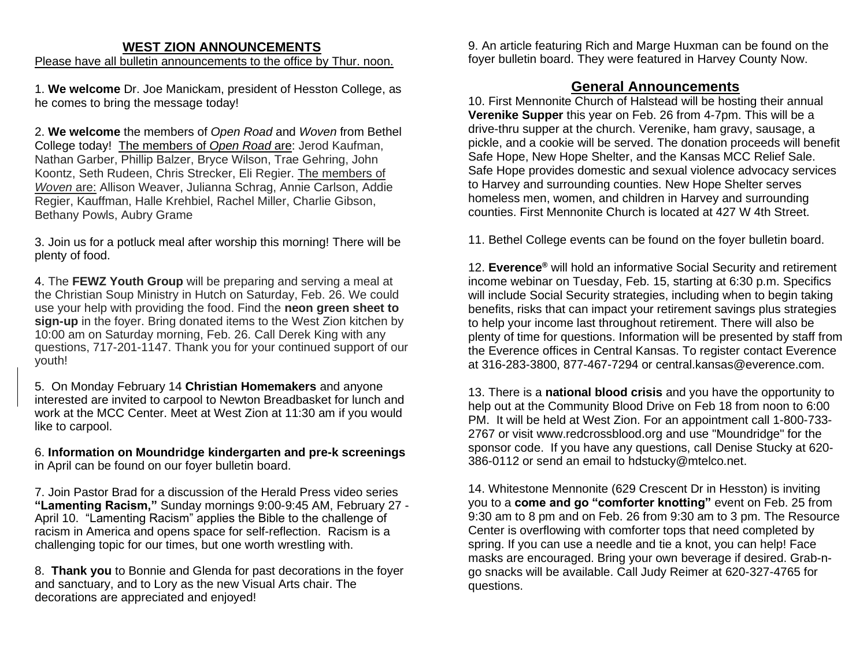# **WEST ZION ANNOUNCEMENTS**

Please have all bulletin announcements to the office by Thur. noon.

1. **We welcome** Dr. Joe Manickam, president of Hesston College, as he comes to bring the message today!

2. **We welcome** the members of *Open Road* and *Woven* from Bethel College today! The members of *Open Road* are: Jerod Kaufman, Nathan Garber, Phillip Balzer, Bryce Wilson, Trae Gehring, John Koontz, Seth Rudeen, Chris Strecker, Eli Regier. The members of *Woven* are: Allison Weaver, Julianna Schrag, Annie Carlson, Addie Regier, Kauffman, Halle Krehbiel, Rachel Miller, Charlie Gibson, Bethany Powls, Aubry Grame

3. Join us for a potluck meal after worship this morning! There will be plenty of food.

4. The **FEWZ Youth Group** will be preparing and serving a meal at the Christian Soup Ministry in Hutch on Saturday, Feb. 26. We could use your help with providing the food. Find the **neon green sheet to sign-up** in the foyer. Bring donated items to the West Zion kitchen by 10:00 am on Saturday morning, Feb. 26. Call Derek King with any questions, 717-201-1147. Thank you for your continued support of our youth!

5. On Monday February 14 **Christian Homemakers** and anyone interested are invited to carpool to Newton Breadbasket for lunch and work at the MCC Center. Meet at West Zion at 11:30 am if you would like to carpool.

6. **Information on Moundridge kindergarten and pre-k screenings** in April can be found on our foyer bulletin board.

7. Join Pastor Brad for a discussion of the Herald Press video series **"Lamenting Racism,"** Sunday mornings 9:00-9:45 AM, February 27 - April 10. "Lamenting Racism" applies the Bible to the challenge of racism in America and opens space for self-reflection. Racism is a challenging topic for our times, but one worth wrestling with.

8. **Thank you** to Bonnie and Glenda for past decorations in the foyer and sanctuary, and to Lory as the new Visual Arts chair. The decorations are appreciated and enjoyed!

9. An article featuring Rich and Marge Huxman can be found on the foyer bulletin board. They were featured in Harvey County Now.

## **General Announcements**

10. First Mennonite Church of Halstead will be hosting their annual **Verenike Supper** this year on Feb. 26 from 4-7pm. This will be a drive-thru supper at the church. Verenike, ham gravy, sausage, a pickle, and a cookie will be served. The donation proceeds will benefit Safe Hope, New Hope Shelter, and the Kansas MCC Relief Sale. Safe Hope provides domestic and sexual violence advocacy services to Harvey and surrounding counties. New Hope Shelter serves homeless men, women, and children in Harvey and surrounding counties. First Mennonite Church is located at 427 W 4th Street.

11. Bethel College events can be found on the foyer bulletin board.

12. **Everence®** will hold an informative Social Security and retirement income webinar on Tuesday, Feb. 15, starting at 6:30 p.m. Specifics will include Social Security strategies, including when to begin taking benefits, risks that can impact your retirement savings plus strategies to help your income last throughout retirement. There will also be plenty of time for questions. Information will be presented by staff from the Everence offices in Central Kansas. To register contact Everence at 316-283-3800, 877-467-7294 or [central.kansas@everence.com.](mailto:central.kansas@everence.com)

13. There is a **national blood crisis** and you have the opportunity to help out at the Community Blood Drive on Feb 18 from noon to 6:00 PM. It will be held at West Zion. For an appointment call 1-800-733- 2767 or visit [www.redcrossblood.org](http://www.redcrossblood.org/) and use "Moundridge" for the sponsor code. If you have any questions, call Denise Stucky at 620- 386-0112 or send an email to [hdstucky@mtelco.net.](mailto:hdstucky@mtelco.net)

14. Whitestone Mennonite (629 Crescent Dr in Hesston) is inviting you to a **come and go "comforter knotting"** event on Feb. 25 from 9:30 am to 8 pm and on Feb. 26 from 9:30 am to 3 pm. The Resource Center is overflowing with comforter tops that need completed by spring. If you can use a needle and tie a knot, you can help! Face masks are encouraged. Bring your own beverage if desired. Grab-ngo snacks will be available. Call Judy Reimer at 620-327-4765 for questions.